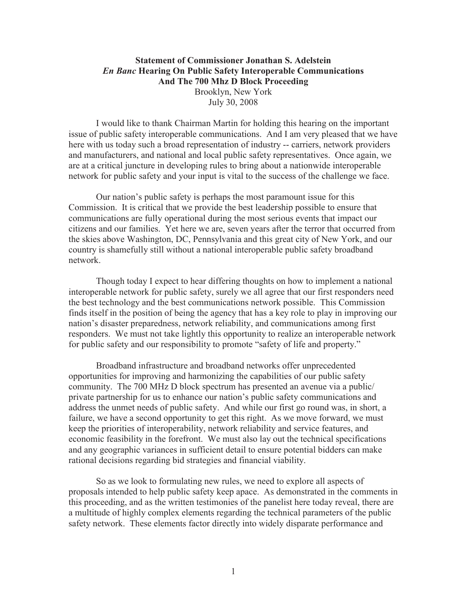## **Statement of Commissioner Jonathan S. Adelstein** *En Banc* **Hearing On Public Safety Interoperable Communications And The 700 Mhz D Block Proceeding** Brooklyn, New York July 30, 2008

I would like to thank Chairman Martin for holding this hearing on the important issue of public safety interoperable communications. And I am very pleased that we have here with us today such a broad representation of industry -- carriers, network providers and manufacturers, and national and local public safety representatives. Once again, we are at a critical juncture in developing rules to bring about a nationwide interoperable network for public safety and your input is vital to the success of the challenge we face.

Our nation's public safety is perhaps the most paramount issue for this Commission. It is critical that we provide the best leadership possible to ensure that communications are fully operational during the most serious events that impact our citizens and our families. Yet here we are, seven years after the terror that occurred from the skies above Washington, DC, Pennsylvania and this great city of New York, and our country is shamefully still without a national interoperable public safety broadband network.

Though today I expect to hear differing thoughts on how to implement a national interoperable network for public safety, surely we all agree that our first responders need the best technology and the best communications network possible. This Commission finds itself in the position of being the agency that has a key role to play in improving our nation's disaster preparedness, network reliability, and communications among first responders. We must not take lightly this opportunity to realize an interoperable network for public safety and our responsibility to promote "safety of life and property."

Broadband infrastructure and broadband networks offer unprecedented opportunities for improving and harmonizing the capabilities of our public safety community. The 700 MHz D block spectrum has presented an avenue via a public/ private partnership for us to enhance our nation's public safety communications and address the unmet needs of public safety. And while our first go round was, in short, a failure, we have a second opportunity to get this right. As we move forward, we must keep the priorities of interoperability, network reliability and service features, and economic feasibility in the forefront. We must also lay out the technical specifications and any geographic variances in sufficient detail to ensure potential bidders can make rational decisions regarding bid strategies and financial viability.

So as we look to formulating new rules, we need to explore all aspects of proposals intended to help public safety keep apace. As demonstrated in the comments in this proceeding, and as the written testimonies of the panelist here today reveal, there are a multitude of highly complex elements regarding the technical parameters of the public safety network. These elements factor directly into widely disparate performance and